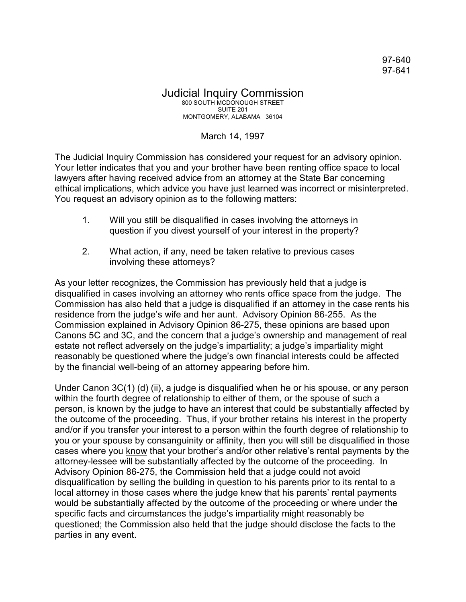97-640 97-641

## Judicial Inquiry Commission 800 SOUTH MCDONOUGH STREET **SUITE 201** MONTGOMERY, ALABAMA 36104

## March 14, 1997

The Judicial Inquiry Commission has considered your request for an advisory opinion. Your letter indicates that you and your brother have been renting office space to local lawyers after having received advice from an attorney at the State Bar concerning ethical implications, which advice you have just learned was incorrect or misinterpreted. You request an advisory opinion as to the following matters:

- 1. Will you still be disqualified in cases involving the attorneys in question if you divest yourself of your interest in the property?
- 2. What action, if any, need be taken relative to previous cases involving these attorneys?

As your letter recognizes, the Commission has previously held that a judge is disqualified in cases involving an attorney who rents office space from the judge. The Commission has also held that a judge is disqualified if an attorney in the case rents his residence from the judge's wife and her aunt. Advisory Opinion 86-255. As the Commission explained in Advisory Opinion 86-275, these opinions are based upon Canons 5C and 3C, and the concern that a judge's ownership and management of real estate not reflect adversely on the judge's impartiality; a judge's impartiality might reasonably be questioned where the judge's own financial interests could be affected by the financial well-being of an attorney appearing before him.

Under Canon 3C(1) (d) (ii), a judge is disqualified when he or his spouse, or any person within the fourth degree of relationship to either of them, or the spouse of such a person, is known by the judge to have an interest that could be substantially affected by the outcome of the proceeding. Thus, if your brother retains his interest in the property and/or if you transfer your interest to a person within the fourth degree of relationship to you or your spouse by consanguinity or affinity, then you will still be disqualified in those cases where you know that your brother's and/or other relative's rental payments by the attorney-lessee will be substantially affected by the outcome of the proceeding. In Advisory Opinion 86-275, the Commission held that a judge could not avoid disqualification by selling the building in question to his parents prior to its rental to a local attorney in those cases where the judge knew that his parents' rental payments would be substantially affected by the outcome of the proceeding or where under the specific facts and circumstances the judge's impartiality might reasonably be questioned; the Commission also held that the judge should disclose the facts to the parties in any event.